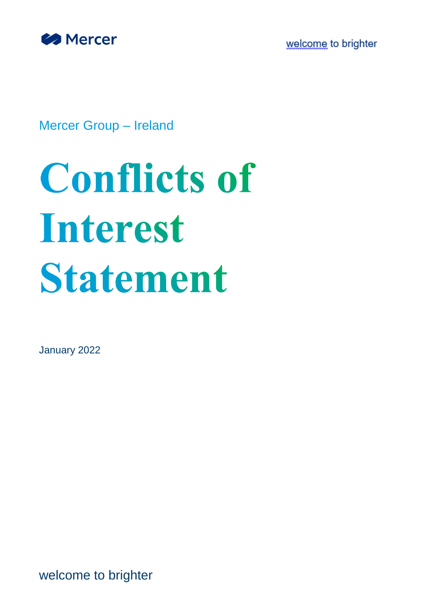

welcome to brighter

Mercer Group – Ireland

# **Conflicts of** Interest **Statement**

January 2022

welcome to brighter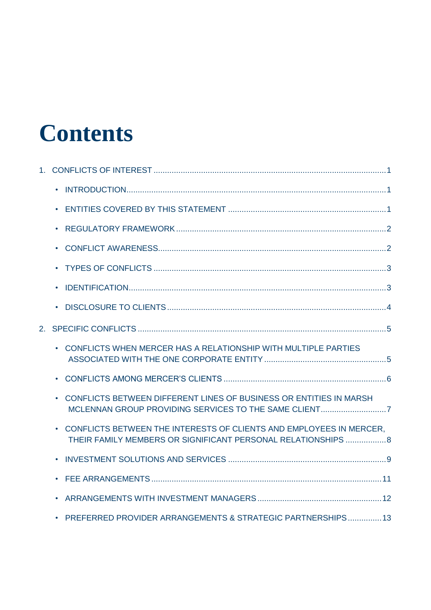# **Contents**

|                | $\bullet$                                                                                                                                        |  |
|----------------|--------------------------------------------------------------------------------------------------------------------------------------------------|--|
|                | $\bullet$                                                                                                                                        |  |
|                | $\bullet$                                                                                                                                        |  |
|                | $\bullet$                                                                                                                                        |  |
|                | $\bullet$                                                                                                                                        |  |
|                | $\bullet$                                                                                                                                        |  |
|                | $\bullet$                                                                                                                                        |  |
| 2 <sup>1</sup> |                                                                                                                                                  |  |
|                | CONFLICTS WHEN MERCER HAS A RELATIONSHIP WITH MULTIPLE PARTIES                                                                                   |  |
|                | $\bullet$                                                                                                                                        |  |
|                | CONFLICTS BETWEEN DIFFERENT LINES OF BUSINESS OR ENTITIES IN MARSH<br>$\bullet$                                                                  |  |
|                | CONFLICTS BETWEEN THE INTERESTS OF CLIENTS AND EMPLOYEES IN MERCER.<br>$\bullet$<br>THEIR FAMILY MEMBERS OR SIGNIFICANT PERSONAL RELATIONSHIPS 8 |  |
|                | $\bullet$                                                                                                                                        |  |
|                | $\bullet$                                                                                                                                        |  |
|                | $\bullet$                                                                                                                                        |  |
|                | PREFERRED PROVIDER ARRANGEMENTS & STRATEGIC PARTNERSHIPS 13<br>$\bullet$                                                                         |  |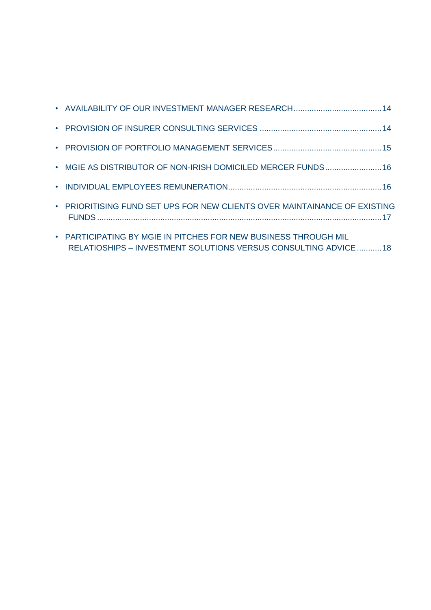| • MGIE AS DISTRIBUTOR OF NON-IRISH DOMICILED MERCER FUNDS 16                                                                       |  |
|------------------------------------------------------------------------------------------------------------------------------------|--|
|                                                                                                                                    |  |
| • PRIORITISING FUND SET UPS FOR NEW CLIENTS OVER MAINTAINANCE OF EXISTING                                                          |  |
| • PARTICIPATING BY MGIE IN PITCHES FOR NEW BUSINESS THROUGH MIL<br>RELATIOSHIPS - INVESTMENT SOLUTIONS VERSUS CONSULTING ADVICE 18 |  |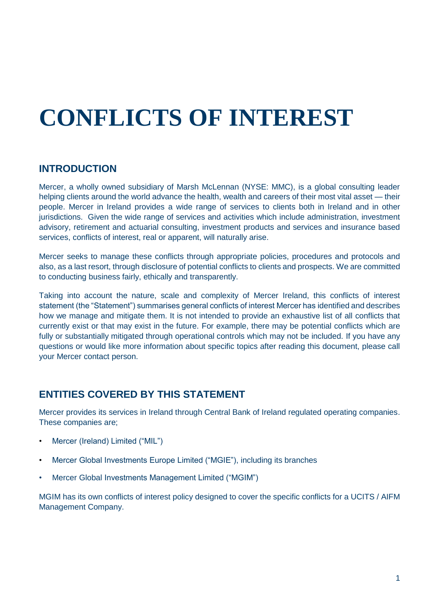# <span id="page-3-0"></span>**CONFLICTS OF INTEREST**

# <span id="page-3-1"></span>**INTRODUCTION**

Mercer, a wholly owned subsidiary of Marsh McLennan (NYSE: MMC), is a global consulting leader helping clients around the world advance the health, wealth and careers of their most vital asset — their people. Mercer in Ireland provides a wide range of services to clients both in Ireland and in other jurisdictions. Given the wide range of services and activities which include administration, investment advisory, retirement and actuarial consulting, investment products and services and insurance based services, conflicts of interest, real or apparent, will naturally arise.

Mercer seeks to manage these conflicts through appropriate policies, procedures and protocols and also, as a last resort, through disclosure of potential conflicts to clients and prospects. We are committed to conducting business fairly, ethically and transparently.

Taking into account the nature, scale and complexity of Mercer Ireland, this conflicts of interest statement (the "Statement") summarises general conflicts of interest Mercer has identified and describes how we manage and mitigate them. It is not intended to provide an exhaustive list of all conflicts that currently exist or that may exist in the future. For example, there may be potential conflicts which are fully or substantially mitigated through operational controls which may not be included. If you have any questions or would like more information about specific topics after reading this document, please call your Mercer contact person.

# <span id="page-3-2"></span>**ENTITIES COVERED BY THIS STATEMENT**

Mercer provides its services in Ireland through Central Bank of Ireland regulated operating companies. These companies are;

- Mercer (Ireland) Limited ("MIL")
- Mercer Global Investments Europe Limited ("MGIE"), including its branches
- Mercer Global Investments Management Limited ("MGIM")

MGIM has its own conflicts of interest policy designed to cover the specific conflicts for a UCITS / AIFM Management Company.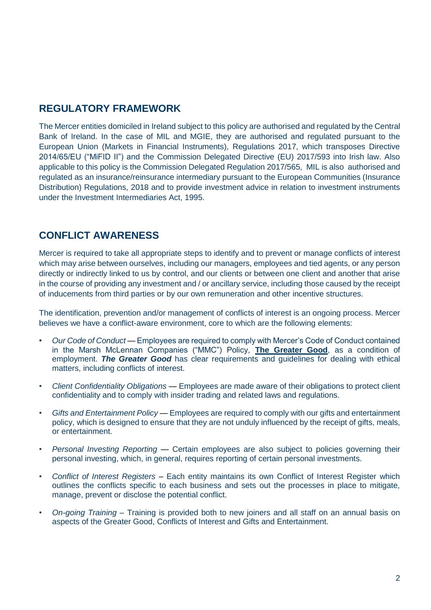# <span id="page-4-0"></span>**REGULATORY FRAMEWORK**

The Mercer entities domiciled in Ireland subject to this policy are authorised and regulated by the Central Bank of Ireland. In the case of MIL and MGIE, they are authorised and regulated pursuant to the European Union (Markets in Financial Instruments), Regulations 2017, which transposes Directive 2014/65/EU ("MiFID II") and the Commission Delegated Directive (EU) 2017/593 into Irish law. Also applicable to this policy is the Commission Delegated Regulation 2017/565, MIL is also authorised and regulated as an insurance/reinsurance intermediary pursuant to the European Communities (Insurance Distribution) Regulations, 2018 and to provide investment advice in relation to investment instruments under the Investment Intermediaries Act, 1995.

# <span id="page-4-1"></span>**CONFLICT AWARENESS**

Mercer is required to take all appropriate steps to identify and to prevent or manage conflicts of interest which may arise between ourselves, including our managers, employees and tied agents, or any person directly or indirectly linked to us by control, and our clients or between one client and another that arise in the course of providing any investment and / or ancillary service, including those caused by the receipt of inducements from third parties or by our own remuneration and other incentive structures.

The identification, prevention and/or management of conflicts of interest is an ongoing process. Mercer believes we have a conflict-aware environment, core to which are the following elements:

- *Our Code of Conduct* Employees are required to comply with Mercer's Code of Conduct contained in the Marsh McLennan Companies ("MMC") Policy, **[The Greater Good](http://integrity.mmc.com/the-greater-good)**, as a condition of employment. *The Greater Good* has clear requirements and guidelines for dealing with ethical matters, including conflicts of interest.
- *Client Confidentiality Obligations* Employees are made aware of their obligations to protect client confidentiality and to comply with insider trading and related laws and regulations.
- *Gifts and Entertainment Policy*  Employees are required to comply with our gifts and entertainment policy, which is designed to ensure that they are not unduly influenced by the receipt of gifts, meals, or entertainment.
- *Personal Investing Reporting* Certain employees are also subject to policies governing their personal investing, which, in general, requires reporting of certain personal investments.
- *Conflict of Interest Registers –* Each entity maintains its own Conflict of Interest Register which outlines the conflicts specific to each business and sets out the processes in place to mitigate, manage, prevent or disclose the potential conflict.
- *On-going Training –* Training is provided both to new joiners and all staff on an annual basis on aspects of the Greater Good, Conflicts of Interest and Gifts and Entertainment.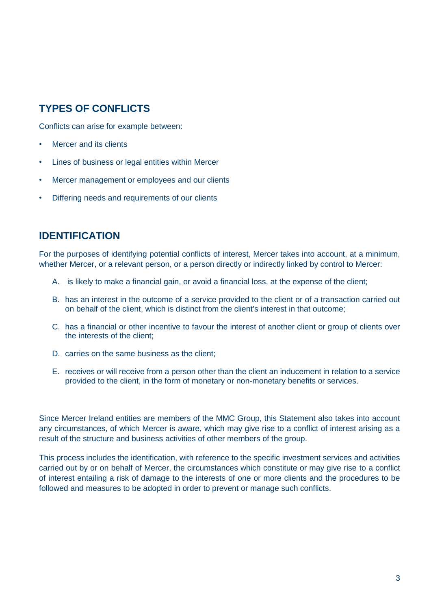# <span id="page-5-0"></span>**TYPES OF CONFLICTS**

Conflicts can arise for example between:

- Mercer and its clients
- Lines of business or legal entities within Mercer
- Mercer management or employees and our clients
- Differing needs and requirements of our clients

### <span id="page-5-1"></span>**IDENTIFICATION**

For the purposes of identifying potential conflicts of interest, Mercer takes into account, at a minimum, whether Mercer, or a relevant person, or a person directly or indirectly linked by control to Mercer:

- A. is likely to make a financial gain, or avoid a financial loss, at the expense of the client;
- B. has an interest in the outcome of a service provided to the client or of a transaction carried out on behalf of the client, which is distinct from the client's interest in that outcome;
- C. has a financial or other incentive to favour the interest of another client or group of clients over the interests of the client;
- D. carries on the same business as the client:
- E. receives or will receive from a person other than the client an inducement in relation to a service provided to the client, in the form of monetary or non-monetary benefits or services.

Since Mercer Ireland entities are members of the MMC Group, this Statement also takes into account any circumstances, of which Mercer is aware, which may give rise to a conflict of interest arising as a result of the structure and business activities of other members of the group.

This process includes the identification, with reference to the specific investment services and activities carried out by or on behalf of Mercer, the circumstances which constitute or may give rise to a conflict of interest entailing a risk of damage to the interests of one or more clients and the procedures to be followed and measures to be adopted in order to prevent or manage such conflicts.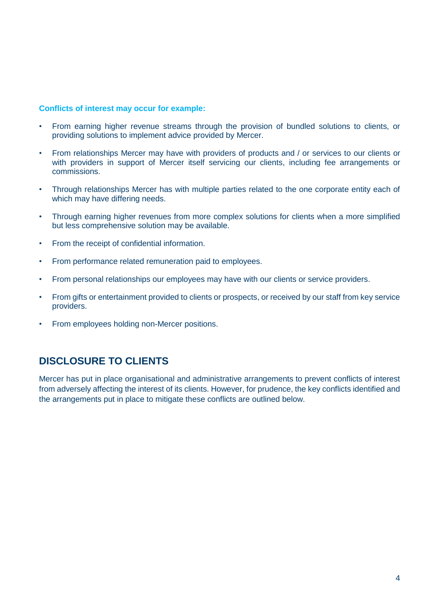#### **Conflicts of interest may occur for example:**

- From earning higher revenue streams through the provision of bundled solutions to clients, or providing solutions to implement advice provided by Mercer.
- From relationships Mercer may have with providers of products and / or services to our clients or with providers in support of Mercer itself servicing our clients, including fee arrangements or commissions.
- Through relationships Mercer has with multiple parties related to the one corporate entity each of which may have differing needs.
- Through earning higher revenues from more complex solutions for clients when a more simplified but less comprehensive solution may be available.
- From the receipt of confidential information.
- From performance related remuneration paid to employees.
- From personal relationships our employees may have with our clients or service providers.
- From gifts or entertainment provided to clients or prospects, or received by our staff from key service providers.
- From employees holding non-Mercer positions.

# <span id="page-6-0"></span>**DISCLOSURE TO CLIENTS**

Mercer has put in place organisational and administrative arrangements to prevent conflicts of interest from adversely affecting the interest of its clients. However, for prudence, the key conflicts identified and the arrangements put in place to mitigate these conflicts are outlined below.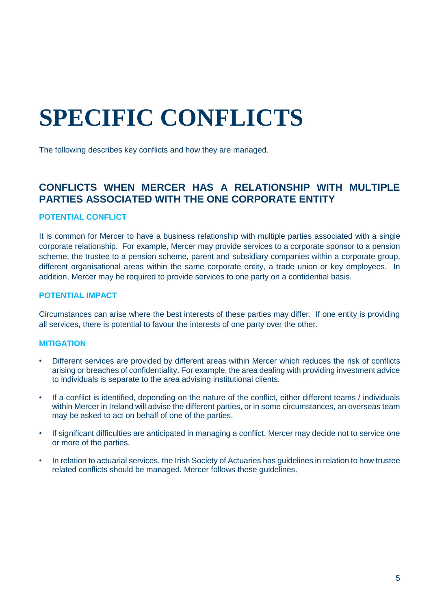# <span id="page-7-0"></span>**SPECIFIC CONFLICTS**

The following describes key conflicts and how they are managed.

# <span id="page-7-1"></span>**CONFLICTS WHEN MERCER HAS A RELATIONSHIP WITH MULTIPLE PARTIES ASSOCIATED WITH THE ONE CORPORATE ENTITY**

#### **POTENTIAL CONFLICT**

It is common for Mercer to have a business relationship with multiple parties associated with a single corporate relationship. For example, Mercer may provide services to a corporate sponsor to a pension scheme, the trustee to a pension scheme, parent and subsidiary companies within a corporate group, different organisational areas within the same corporate entity, a trade union or key employees. In addition, Mercer may be required to provide services to one party on a confidential basis.

#### **POTENTIAL IMPACT**

Circumstances can arise where the best interests of these parties may differ. If one entity is providing all services, there is potential to favour the interests of one party over the other.

- Different services are provided by different areas within Mercer which reduces the risk of conflicts arising or breaches of confidentiality. For example, the area dealing with providing investment advice to individuals is separate to the area advising institutional clients.
- If a conflict is identified, depending on the nature of the conflict, either different teams / individuals within Mercer in Ireland will advise the different parties, or in some circumstances, an overseas team may be asked to act on behalf of one of the parties.
- If significant difficulties are anticipated in managing a conflict. Mercer may decide not to service one or more of the parties.
- In relation to actuarial services, the Irish Society of Actuaries has guidelines in relation to how trustee related conflicts should be managed. Mercer follows these guidelines.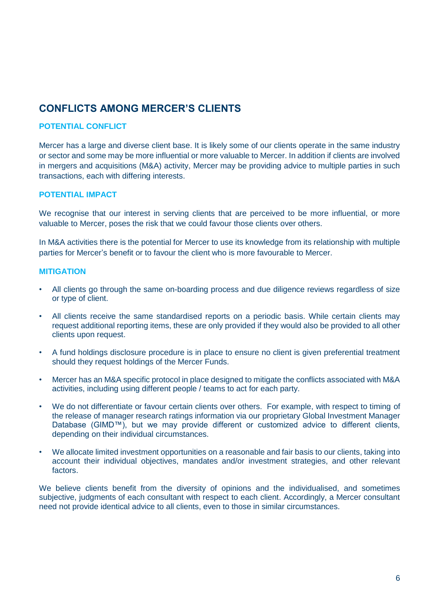# <span id="page-8-0"></span>**CONFLICTS AMONG MERCER'S CLIENTS**

#### **POTENTIAL CONFLICT**

Mercer has a large and diverse client base. It is likely some of our clients operate in the same industry or sector and some may be more influential or more valuable to Mercer. In addition if clients are involved in mergers and acquisitions (M&A) activity, Mercer may be providing advice to multiple parties in such transactions, each with differing interests.

#### **POTENTIAL IMPACT**

We recognise that our interest in serving clients that are perceived to be more influential, or more valuable to Mercer, poses the risk that we could favour those clients over others.

In M&A activities there is the potential for Mercer to use its knowledge from its relationship with multiple parties for Mercer's benefit or to favour the client who is more favourable to Mercer.

#### **MITIGATION**

- All clients go through the same on-boarding process and due diligence reviews regardless of size or type of client.
- All clients receive the same standardised reports on a periodic basis. While certain clients may request additional reporting items, these are only provided if they would also be provided to all other clients upon request.
- A fund holdings disclosure procedure is in place to ensure no client is given preferential treatment should they request holdings of the Mercer Funds.
- Mercer has an M&A specific protocol in place designed to mitigate the conflicts associated with M&A activities, including using different people / teams to act for each party.
- We do not differentiate or favour certain clients over others. For example, with respect to timing of the release of manager research ratings information via our proprietary Global Investment Manager Database (GIMD™), but we may provide different or customized advice to different clients, depending on their individual circumstances.
- We allocate limited investment opportunities on a reasonable and fair basis to our clients, taking into account their individual objectives, mandates and/or investment strategies, and other relevant factors.

We believe clients benefit from the diversity of opinions and the individualised, and sometimes subjective, judgments of each consultant with respect to each client. Accordingly, a Mercer consultant need not provide identical advice to all clients, even to those in similar circumstances.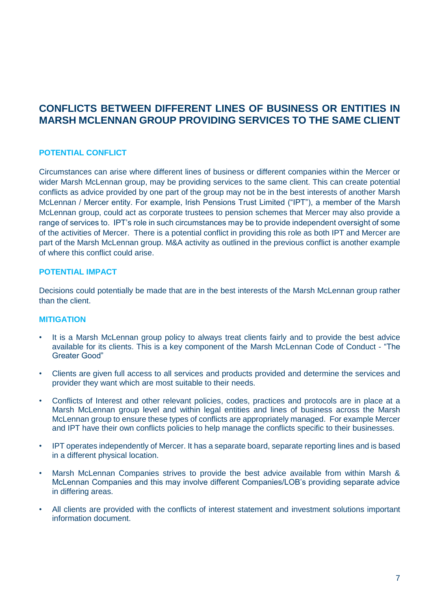# <span id="page-9-0"></span>**CONFLICTS BETWEEN DIFFERENT LINES OF BUSINESS OR ENTITIES IN MARSH MCLENNAN GROUP PROVIDING SERVICES TO THE SAME CLIENT**

#### **POTENTIAL CONFLICT**

Circumstances can arise where different lines of business or different companies within the Mercer or wider Marsh McLennan group, may be providing services to the same client. This can create potential conflicts as advice provided by one part of the group may not be in the best interests of another Marsh McLennan / Mercer entity. For example, Irish Pensions Trust Limited ("IPT"), a member of the Marsh McLennan group, could act as corporate trustees to pension schemes that Mercer may also provide a range of services to. IPT's role in such circumstances may be to provide independent oversight of some of the activities of Mercer. There is a potential conflict in providing this role as both IPT and Mercer are part of the Marsh McLennan group. M&A activity as outlined in the previous conflict is another example of where this conflict could arise.

#### **POTENTIAL IMPACT**

Decisions could potentially be made that are in the best interests of the Marsh McLennan group rather than the client.

- It is a Marsh McLennan group policy to always treat clients fairly and to provide the best advice available for its clients. This is a key component of the Marsh McLennan Code of Conduct - "The Greater Good"
- Clients are given full access to all services and products provided and determine the services and provider they want which are most suitable to their needs.
- Conflicts of Interest and other relevant policies, codes, practices and protocols are in place at a Marsh McLennan group level and within legal entities and lines of business across the Marsh McLennan group to ensure these types of conflicts are appropriately managed. For example Mercer and IPT have their own conflicts policies to help manage the conflicts specific to their businesses.
- IPT operates independently of Mercer. It has a separate board, separate reporting lines and is based in a different physical location.
- Marsh McLennan Companies strives to provide the best advice available from within Marsh & McLennan Companies and this may involve different Companies/LOB's providing separate advice in differing areas.
- All clients are provided with the conflicts of interest statement and investment solutions important information document.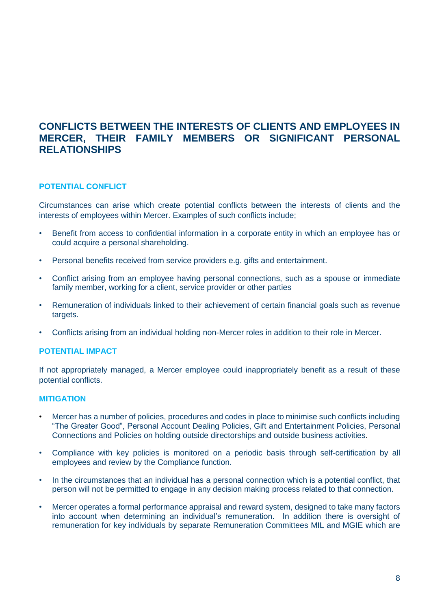# <span id="page-10-0"></span>**CONFLICTS BETWEEN THE INTERESTS OF CLIENTS AND EMPLOYEES IN MERCER, THEIR FAMILY MEMBERS OR SIGNIFICANT PERSONAL RELATIONSHIPS**

#### **POTENTIAL CONFLICT**

Circumstances can arise which create potential conflicts between the interests of clients and the interests of employees within Mercer. Examples of such conflicts include;

- Benefit from access to confidential information in a corporate entity in which an employee has or could acquire a personal shareholding.
- Personal benefits received from service providers e.g. gifts and entertainment.
- Conflict arising from an employee having personal connections, such as a spouse or immediate family member, working for a client, service provider or other parties
- Remuneration of individuals linked to their achievement of certain financial goals such as revenue targets.
- Conflicts arising from an individual holding non-Mercer roles in addition to their role in Mercer.

#### **POTENTIAL IMPACT**

If not appropriately managed, a Mercer employee could inappropriately benefit as a result of these potential conflicts.

- Mercer has a number of policies, procedures and codes in place to minimise such conflicts including "The Greater Good", Personal Account Dealing Policies, Gift and Entertainment Policies, Personal Connections and Policies on holding outside directorships and outside business activities.
- Compliance with key policies is monitored on a periodic basis through self-certification by all employees and review by the Compliance function.
- In the circumstances that an individual has a personal connection which is a potential conflict, that person will not be permitted to engage in any decision making process related to that connection.
- Mercer operates a formal performance appraisal and reward system, designed to take many factors into account when determining an individual's remuneration. In addition there is oversight of remuneration for key individuals by separate Remuneration Committees MIL and MGIE which are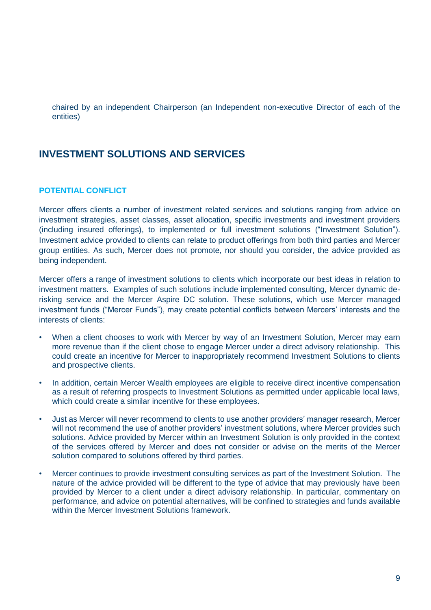chaired by an independent Chairperson (an Independent non-executive Director of each of the entities)

# <span id="page-11-0"></span>**INVESTMENT SOLUTIONS AND SERVICES**

#### **POTENTIAL CONFLICT**

Mercer offers clients a number of investment related services and solutions ranging from advice on investment strategies, asset classes, asset allocation, specific investments and investment providers (including insured offerings), to implemented or full investment solutions ("Investment Solution"). Investment advice provided to clients can relate to product offerings from both third parties and Mercer group entities. As such, Mercer does not promote, nor should you consider, the advice provided as being independent.

Mercer offers a range of investment solutions to clients which incorporate our best ideas in relation to investment matters. Examples of such solutions include implemented consulting, Mercer dynamic derisking service and the Mercer Aspire DC solution. These solutions, which use Mercer managed investment funds ("Mercer Funds"), may create potential conflicts between Mercers' interests and the interests of clients:

- When a client chooses to work with Mercer by way of an Investment Solution, Mercer may earn more revenue than if the client chose to engage Mercer under a direct advisory relationship. This could create an incentive for Mercer to inappropriately recommend Investment Solutions to clients and prospective clients.
- In addition, certain Mercer Wealth employees are eligible to receive direct incentive compensation as a result of referring prospects to Investment Solutions as permitted under applicable local laws, which could create a similar incentive for these employees.
- Just as Mercer will never recommend to clients to use another providers' manager research, Mercer will not recommend the use of another providers' investment solutions, where Mercer provides such solutions. Advice provided by Mercer within an Investment Solution is only provided in the context of the services offered by Mercer and does not consider or advise on the merits of the Mercer solution compared to solutions offered by third parties.
- Mercer continues to provide investment consulting services as part of the Investment Solution. The nature of the advice provided will be different to the type of advice that may previously have been provided by Mercer to a client under a direct advisory relationship. In particular, commentary on performance, and advice on potential alternatives, will be confined to strategies and funds available within the Mercer Investment Solutions framework.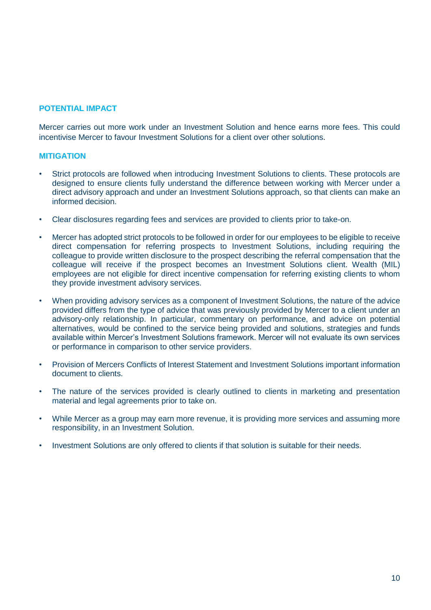#### **POTENTIAL IMPACT**

Mercer carries out more work under an Investment Solution and hence earns more fees. This could incentivise Mercer to favour Investment Solutions for a client over other solutions.

- Strict protocols are followed when introducing Investment Solutions to clients. These protocols are designed to ensure clients fully understand the difference between working with Mercer under a direct advisory approach and under an Investment Solutions approach, so that clients can make an informed decision.
- Clear disclosures regarding fees and services are provided to clients prior to take-on.
- Mercer has adopted strict protocols to be followed in order for our employees to be eligible to receive direct compensation for referring prospects to Investment Solutions, including requiring the colleague to provide written disclosure to the prospect describing the referral compensation that the colleague will receive if the prospect becomes an Investment Solutions client. Wealth (MIL) employees are not eligible for direct incentive compensation for referring existing clients to whom they provide investment advisory services.
- When providing advisory services as a component of Investment Solutions, the nature of the advice provided differs from the type of advice that was previously provided by Mercer to a client under an advisory-only relationship. In particular, commentary on performance, and advice on potential alternatives, would be confined to the service being provided and solutions, strategies and funds available within Mercer's Investment Solutions framework. Mercer will not evaluate its own services or performance in comparison to other service providers.
- Provision of Mercers Conflicts of Interest Statement and Investment Solutions important information document to clients.
- The nature of the services provided is clearly outlined to clients in marketing and presentation material and legal agreements prior to take on.
- While Mercer as a group may earn more revenue, it is providing more services and assuming more responsibility, in an Investment Solution.
- Investment Solutions are only offered to clients if that solution is suitable for their needs.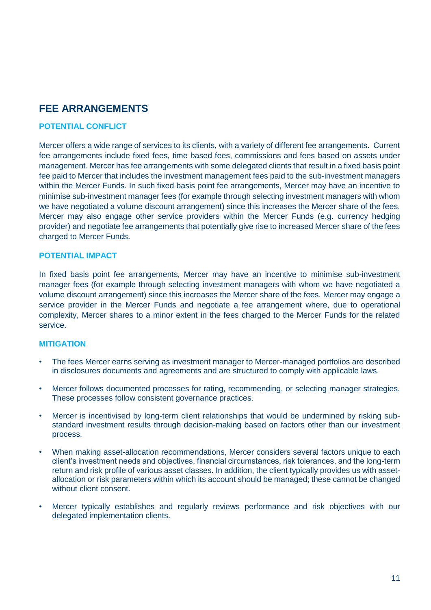# <span id="page-13-0"></span>**FEE ARRANGEMENTS**

#### **POTENTIAL CONFLICT**

Mercer offers a wide range of services to its clients, with a variety of different fee arrangements. Current fee arrangements include fixed fees, time based fees, commissions and fees based on assets under management. Mercer has fee arrangements with some delegated clients that result in a fixed basis point fee paid to Mercer that includes the investment management fees paid to the sub-investment managers within the Mercer Funds. In such fixed basis point fee arrangements, Mercer may have an incentive to minimise sub-investment manager fees (for example through selecting investment managers with whom we have negotiated a volume discount arrangement) since this increases the Mercer share of the fees. Mercer may also engage other service providers within the Mercer Funds (e.g. currency hedging provider) and negotiate fee arrangements that potentially give rise to increased Mercer share of the fees charged to Mercer Funds.

#### **POTENTIAL IMPACT**

In fixed basis point fee arrangements, Mercer may have an incentive to minimise sub-investment manager fees (for example through selecting investment managers with whom we have negotiated a volume discount arrangement) since this increases the Mercer share of the fees. Mercer may engage a service provider in the Mercer Funds and negotiate a fee arrangement where, due to operational complexity, Mercer shares to a minor extent in the fees charged to the Mercer Funds for the related service.

- The fees Mercer earns serving as investment manager to Mercer-managed portfolios are described in disclosures documents and agreements and are structured to comply with applicable laws.
- Mercer follows documented processes for rating, recommending, or selecting manager strategies. These processes follow consistent governance practices.
- Mercer is incentivised by long-term client relationships that would be undermined by risking substandard investment results through decision-making based on factors other than our investment process.
- When making asset-allocation recommendations, Mercer considers several factors unique to each client's investment needs and objectives, financial circumstances, risk tolerances, and the long-term return and risk profile of various asset classes. In addition, the client typically provides us with assetallocation or risk parameters within which its account should be managed; these cannot be changed without client consent.
- Mercer typically establishes and regularly reviews performance and risk objectives with our delegated implementation clients.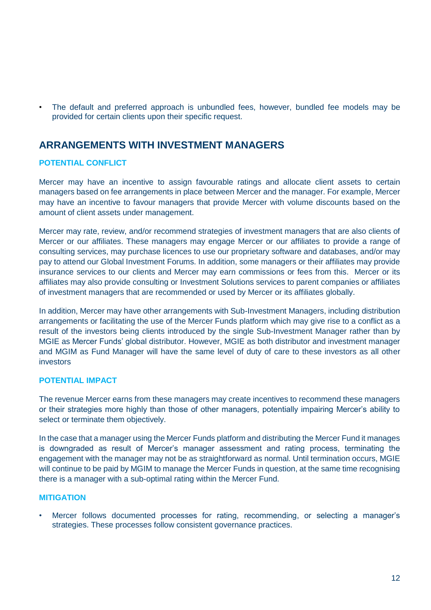• The default and preferred approach is unbundled fees, however, bundled fee models may be provided for certain clients upon their specific request.

# <span id="page-14-0"></span>**ARRANGEMENTS WITH INVESTMENT MANAGERS**

#### **POTENTIAL CONFLICT**

Mercer may have an incentive to assign favourable ratings and allocate client assets to certain managers based on fee arrangements in place between Mercer and the manager. For example, Mercer may have an incentive to favour managers that provide Mercer with volume discounts based on the amount of client assets under management.

Mercer may rate, review, and/or recommend strategies of investment managers that are also clients of Mercer or our affiliates. These managers may engage Mercer or our affiliates to provide a range of consulting services, may purchase licences to use our proprietary software and databases, and/or may pay to attend our Global Investment Forums. In addition, some managers or their affiliates may provide insurance services to our clients and Mercer may earn commissions or fees from this. Mercer or its affiliates may also provide consulting or Investment Solutions services to parent companies or affiliates of investment managers that are recommended or used by Mercer or its affiliates globally.

In addition, Mercer may have other arrangements with Sub-Investment Managers, including distribution arrangements or facilitating the use of the Mercer Funds platform which may give rise to a conflict as a result of the investors being clients introduced by the single Sub-Investment Manager rather than by MGIE as Mercer Funds' global distributor. However, MGIE as both distributor and investment manager and MGIM as Fund Manager will have the same level of duty of care to these investors as all other investors

#### **POTENTIAL IMPACT**

The revenue Mercer earns from these managers may create incentives to recommend these managers or their strategies more highly than those of other managers, potentially impairing Mercer's ability to select or terminate them objectively.

In the case that a manager using the Mercer Funds platform and distributing the Mercer Fund it manages is downgraded as result of Mercer's manager assessment and rating process, terminating the engagement with the manager may not be as straightforward as normal. Until termination occurs, MGIE will continue to be paid by MGIM to manage the Mercer Funds in question, at the same time recognising there is a manager with a sub-optimal rating within the Mercer Fund.

#### **MITIGATION**

• Mercer follows documented processes for rating, recommending, or selecting a manager's strategies. These processes follow consistent governance practices.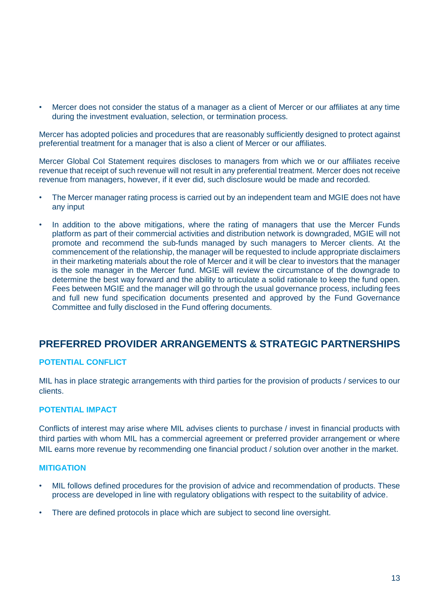• Mercer does not consider the status of a manager as a client of Mercer or our affiliates at any time during the investment evaluation, selection, or termination process.

Mercer has adopted policies and procedures that are reasonably sufficiently designed to protect against preferential treatment for a manager that is also a client of Mercer or our affiliates.

Mercer Global CoI Statement requires discloses to managers from which we or our affiliates receive revenue that receipt of such revenue will not result in any preferential treatment. Mercer does not receive revenue from managers, however, if it ever did, such disclosure would be made and recorded.

- The Mercer manager rating process is carried out by an independent team and MGIE does not have any input
- In addition to the above mitigations, where the rating of managers that use the Mercer Funds platform as part of their commercial activities and distribution network is downgraded, MGIE will not promote and recommend the sub-funds managed by such managers to Mercer clients. At the commencement of the relationship, the manager will be requested to include appropriate disclaimers in their marketing materials about the role of Mercer and it will be clear to investors that the manager is the sole manager in the Mercer fund. MGIE will review the circumstance of the downgrade to determine the best way forward and the ability to articulate a solid rationale to keep the fund open. Fees between MGIE and the manager will go through the usual governance process, including fees and full new fund specification documents presented and approved by the Fund Governance Committee and fully disclosed in the Fund offering documents.

# <span id="page-15-0"></span>**PREFERRED PROVIDER ARRANGEMENTS & STRATEGIC PARTNERSHIPS**

#### **POTENTIAL CONFLICT**

MIL has in place strategic arrangements with third parties for the provision of products / services to our clients.

#### **POTENTIAL IMPACT**

Conflicts of interest may arise where MIL advises clients to purchase / invest in financial products with third parties with whom MIL has a commercial agreement or preferred provider arrangement or where MIL earns more revenue by recommending one financial product / solution over another in the market.

- MIL follows defined procedures for the provision of advice and recommendation of products. These process are developed in line with regulatory obligations with respect to the suitability of advice.
- There are defined protocols in place which are subject to second line oversight.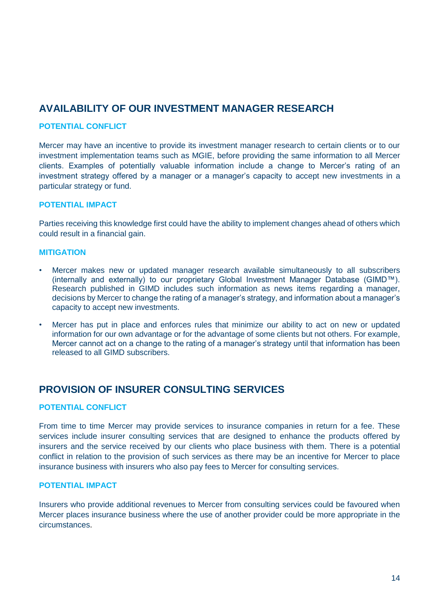# <span id="page-16-0"></span>**AVAILABILITY OF OUR INVESTMENT MANAGER RESEARCH**

#### **POTENTIAL CONFLICT**

Mercer may have an incentive to provide its investment manager research to certain clients or to our investment implementation teams such as MGIE, before providing the same information to all Mercer clients. Examples of potentially valuable information include a change to Mercer's rating of an investment strategy offered by a manager or a manager's capacity to accept new investments in a particular strategy or fund.

#### **POTENTIAL IMPACT**

Parties receiving this knowledge first could have the ability to implement changes ahead of others which could result in a financial gain.

#### **MITIGATION**

- Mercer makes new or updated manager research available simultaneously to all subscribers (internally and externally) to our proprietary Global Investment Manager Database (GIMD™). Research published in GIMD includes such information as news items regarding a manager, decisions by Mercer to change the rating of a manager's strategy, and information about a manager's capacity to accept new investments.
- Mercer has put in place and enforces rules that minimize our ability to act on new or updated information for our own advantage or for the advantage of some clients but not others. For example, Mercer cannot act on a change to the rating of a manager's strategy until that information has been released to all GIMD subscribers.

# <span id="page-16-1"></span>**PROVISION OF INSURER CONSULTING SERVICES**

#### **POTENTIAL CONFLICT**

From time to time Mercer may provide services to insurance companies in return for a fee. These services include insurer consulting services that are designed to enhance the products offered by insurers and the service received by our clients who place business with them. There is a potential conflict in relation to the provision of such services as there may be an incentive for Mercer to place insurance business with insurers who also pay fees to Mercer for consulting services.

#### **POTENTIAL IMPACT**

Insurers who provide additional revenues to Mercer from consulting services could be favoured when Mercer places insurance business where the use of another provider could be more appropriate in the circumstances.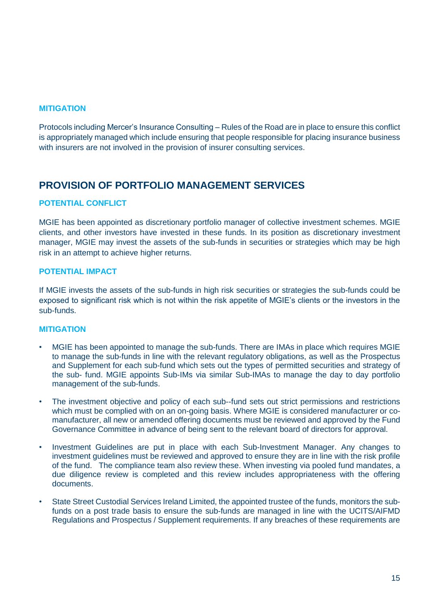#### **MITIGATION**

Protocols including Mercer's Insurance Consulting – Rules of the Road are in place to ensure this conflict is appropriately managed which include ensuring that people responsible for placing insurance business with insurers are not involved in the provision of insurer consulting services.

# <span id="page-17-0"></span>**PROVISION OF PORTFOLIO MANAGEMENT SERVICES**

#### **POTENTIAL CONFLICT**

MGIE has been appointed as discretionary portfolio manager of collective investment schemes. MGIE clients, and other investors have invested in these funds. In its position as discretionary investment manager, MGIE may invest the assets of the sub-funds in securities or strategies which may be high risk in an attempt to achieve higher returns.

#### **POTENTIAL IMPACT**

If MGIE invests the assets of the sub-funds in high risk securities or strategies the sub-funds could be exposed to significant risk which is not within the risk appetite of MGIE's clients or the investors in the sub-funds.

- MGIE has been appointed to manage the sub-funds. There are IMAs in place which requires MGIE to manage the sub-funds in line with the relevant regulatory obligations, as well as the Prospectus and Supplement for each sub-fund which sets out the types of permitted securities and strategy of the sub- fund. MGIE appoints Sub-IMs via similar Sub-IMAs to manage the day to day portfolio management of the sub-funds.
- The investment objective and policy of each sub--fund sets out strict permissions and restrictions which must be complied with on an on-going basis. Where MGIE is considered manufacturer or comanufacturer, all new or amended offering documents must be reviewed and approved by the Fund Governance Committee in advance of being sent to the relevant board of directors for approval.
- Investment Guidelines are put in place with each Sub-Investment Manager. Any changes to investment guidelines must be reviewed and approved to ensure they are in line with the risk profile of the fund. The compliance team also review these. When investing via pooled fund mandates, a due diligence review is completed and this review includes appropriateness with the offering documents.
- State Street Custodial Services Ireland Limited, the appointed trustee of the funds, monitors the subfunds on a post trade basis to ensure the sub-funds are managed in line with the UCITS/AIFMD Regulations and Prospectus / Supplement requirements. If any breaches of these requirements are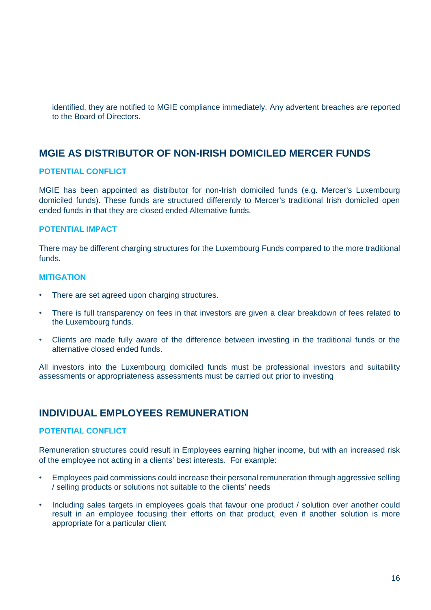identified, they are notified to MGIE compliance immediately. Any advertent breaches are reported to the Board of Directors.

# <span id="page-18-0"></span>**MGIE AS DISTRIBUTOR OF NON-IRISH DOMICILED MERCER FUNDS**

#### **POTENTIAL CONFLICT**

MGIE has been appointed as distributor for non-Irish domiciled funds (e.g. Mercer's Luxembourg domiciled funds). These funds are structured differently to Mercer's traditional Irish domiciled open ended funds in that they are closed ended Alternative funds.

#### **POTENTIAL IMPACT**

There may be different charging structures for the Luxembourg Funds compared to the more traditional funds.

#### **MITIGATION**

- There are set agreed upon charging structures.
- There is full transparency on fees in that investors are given a clear breakdown of fees related to the Luxembourg funds.
- Clients are made fully aware of the difference between investing in the traditional funds or the alternative closed ended funds.

All investors into the Luxembourg domiciled funds must be professional investors and suitability assessments or appropriateness assessments must be carried out prior to investing

### <span id="page-18-1"></span>**INDIVIDUAL EMPLOYEES REMUNERATION**

#### **POTENTIAL CONFLICT**

Remuneration structures could result in Employees earning higher income, but with an increased risk of the employee not acting in a clients' best interests. For example:

- Employees paid commissions could increase their personal remuneration through aggressive selling / selling products or solutions not suitable to the clients' needs
- Including sales targets in employees goals that favour one product / solution over another could result in an employee focusing their efforts on that product, even if another solution is more appropriate for a particular client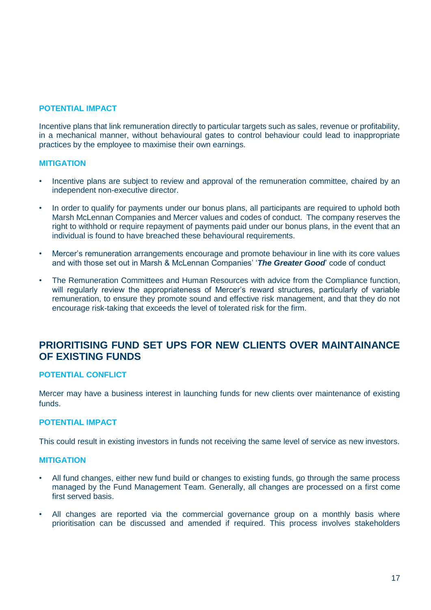#### **POTENTIAL IMPACT**

Incentive plans that link remuneration directly to particular targets such as sales, revenue or profitability, in a mechanical manner, without behavioural gates to control behaviour could lead to inappropriate practices by the employee to maximise their own earnings.

#### **MITIGATION**

- Incentive plans are subject to review and approval of the remuneration committee, chaired by an independent non-executive director.
- In order to qualify for payments under our bonus plans, all participants are required to uphold both Marsh McLennan Companies and Mercer values and codes of conduct. The company reserves the right to withhold or require repayment of payments paid under our bonus plans, in the event that an individual is found to have breached these behavioural requirements.
- Mercer's remuneration arrangements encourage and promote behaviour in line with its core values and with those set out in Marsh & McLennan Companies' '*The Greater Good*' code of conduct
- The Remuneration Committees and Human Resources with advice from the Compliance function, will regularly review the appropriateness of Mercer's reward structures, particularly of variable remuneration, to ensure they promote sound and effective risk management, and that they do not encourage risk-taking that exceeds the level of tolerated risk for the firm.

### <span id="page-19-0"></span>**PRIORITISING FUND SET UPS FOR NEW CLIENTS OVER MAINTAINANCE OF EXISTING FUNDS**

#### **POTENTIAL CONFLICT**

Mercer may have a business interest in launching funds for new clients over maintenance of existing funds.

#### **POTENTIAL IMPACT**

This could result in existing investors in funds not receiving the same level of service as new investors.

- All fund changes, either new fund build or changes to existing funds, go through the same process managed by the Fund Management Team. Generally, all changes are processed on a first come first served basis.
- All changes are reported via the commercial governance group on a monthly basis where prioritisation can be discussed and amended if required. This process involves stakeholders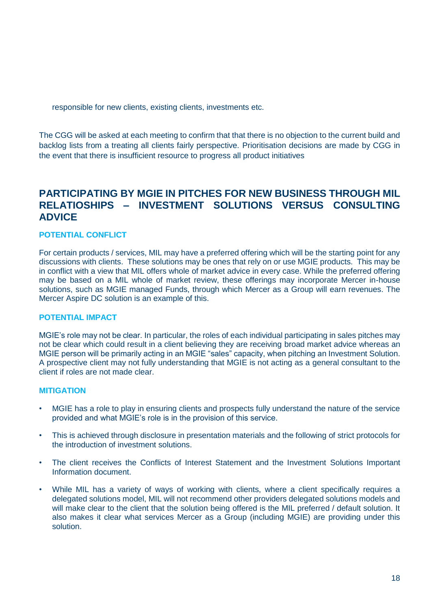responsible for new clients, existing clients, investments etc.

The CGG will be asked at each meeting to confirm that that there is no objection to the current build and backlog lists from a treating all clients fairly perspective. Prioritisation decisions are made by CGG in the event that there is insufficient resource to progress all product initiatives

# <span id="page-20-0"></span>**PARTICIPATING BY MGIE IN PITCHES FOR NEW BUSINESS THROUGH MIL RELATIOSHIPS – INVESTMENT SOLUTIONS VERSUS CONSULTING ADVICE**

#### **POTENTIAL CONFLICT**

For certain products / services, MIL may have a preferred offering which will be the starting point for any discussions with clients. These solutions may be ones that rely on or use MGIE products. This may be in conflict with a view that MIL offers whole of market advice in every case. While the preferred offering may be based on a MIL whole of market review, these offerings may incorporate Mercer in-house solutions, such as MGIE managed Funds, through which Mercer as a Group will earn revenues. The Mercer Aspire DC solution is an example of this.

#### **POTENTIAL IMPACT**

MGIE's role may not be clear. In particular, the roles of each individual participating in sales pitches may not be clear which could result in a client believing they are receiving broad market advice whereas an MGIE person will be primarily acting in an MGIE "sales" capacity, when pitching an Investment Solution. A prospective client may not fully understanding that MGIE is not acting as a general consultant to the client if roles are not made clear.

- MGIE has a role to play in ensuring clients and prospects fully understand the nature of the service provided and what MGIE's role is in the provision of this service.
- This is achieved through disclosure in presentation materials and the following of strict protocols for the introduction of investment solutions.
- The client receives the Conflicts of Interest Statement and the Investment Solutions Important Information document.
- While MIL has a variety of ways of working with clients, where a client specifically requires a delegated solutions model, MIL will not recommend other providers delegated solutions models and will make clear to the client that the solution being offered is the MIL preferred / default solution. It also makes it clear what services Mercer as a Group (including MGIE) are providing under this solution.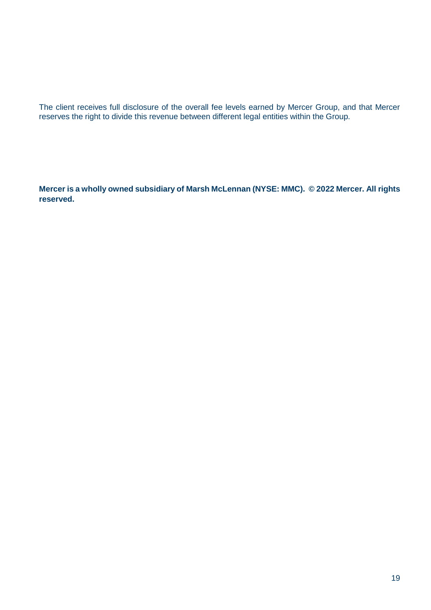The client receives full disclosure of the overall fee levels earned by Mercer Group, and that Mercer reserves the right to divide this revenue between different legal entities within the Group.

**Mercer is a wholly owned subsidiary of Marsh McLennan (NYSE: MMC). © 2022 Mercer. All rights reserved.**